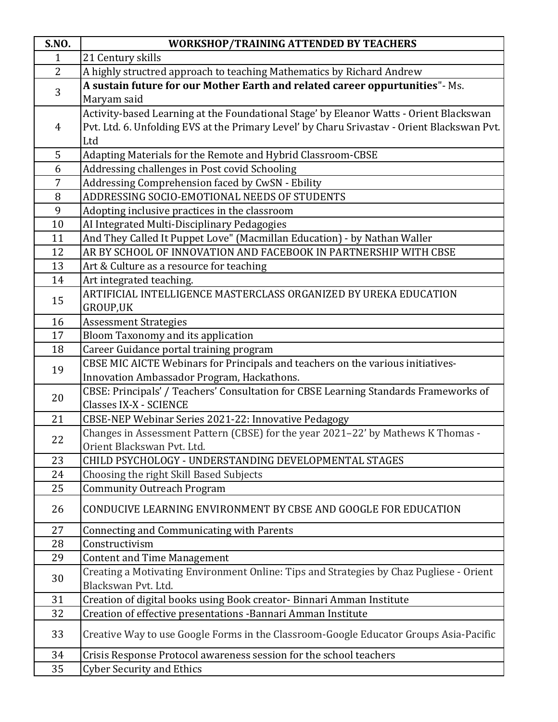| <b>S.NO.</b>   | <b>WORKSHOP/TRAINING ATTENDED BY TEACHERS</b>                                               |
|----------------|---------------------------------------------------------------------------------------------|
| $\mathbf{1}$   | 21 Century skills                                                                           |
| 2              | A highly structred approach to teaching Mathematics by Richard Andrew                       |
| 3              | A sustain future for our Mother Earth and related career oppurtunities" - Ms.               |
|                | Maryam said                                                                                 |
|                | Activity-based Learning at the Foundational Stage' by Eleanor Watts - Orient Blackswan      |
| 4              | Pvt. Ltd. 6. Unfolding EVS at the Primary Level' by Charu Srivastav - Orient Blackswan Pvt. |
|                | Ltd                                                                                         |
| 5              | Adapting Materials for the Remote and Hybrid Classroom-CBSE                                 |
| 6              | Addressing challenges in Post covid Schooling                                               |
| $\overline{7}$ | Addressing Comprehension faced by CwSN - Ebility                                            |
| 8              | ADDRESSING SOCIO-EMOTIONAL NEEDS OF STUDENTS                                                |
| 9              | Adopting inclusive practices in the classroom                                               |
| 10             | AI Integrated Multi-Disciplinary Pedagogies                                                 |
| 11             | And They Called It Puppet Love" (Macmillan Education) - by Nathan Waller                    |
| 12             | AR BY SCHOOL OF INNOVATION AND FACEBOOK IN PARTNERSHIP WITH CBSE                            |
| 13             | Art & Culture as a resource for teaching                                                    |
| 14             | Art integrated teaching.                                                                    |
| 15             | ARTIFICIAL INTELLIGENCE MASTERCLASS ORGANIZED BY UREKA EDUCATION                            |
|                | GROUP,UK                                                                                    |
| 16             | <b>Assessment Strategies</b>                                                                |
| 17             | Bloom Taxonomy and its application                                                          |
| 18             | Career Guidance portal training program                                                     |
| 19             | CBSE MIC AICTE Webinars for Principals and teachers on the various initiatives-             |
|                | Innovation Ambassador Program, Hackathons.                                                  |
| 20             | CBSE: Principals' / Teachers' Consultation for CBSE Learning Standards Frameworks of        |
|                | <b>Classes IX-X - SCIENCE</b>                                                               |
| 21<br>22       | CBSE-NEP Webinar Series 2021-22: Innovative Pedagogy                                        |
|                | Changes in Assessment Pattern (CBSE) for the year 2021-22' by Mathews K Thomas -            |
|                | Orient Blackswan Pvt. Ltd.                                                                  |
| 23             | CHILD PSYCHOLOGY - UNDERSTANDING DEVELOPMENTAL STAGES                                       |
| 24             | Choosing the right Skill Based Subjects                                                     |
| 25             | <b>Community Outreach Program</b>                                                           |
| 26             | CONDUCIVE LEARNING ENVIRONMENT BY CBSE AND GOOGLE FOR EDUCATION                             |
| 27             |                                                                                             |
| 28             | <b>Connecting and Communicating with Parents</b><br>Constructivism                          |
| 29             | <b>Content and Time Management</b>                                                          |
|                | Creating a Motivating Environment Online: Tips and Strategies by Chaz Pugliese - Orient     |
| 30             | Blackswan Pvt. Ltd.                                                                         |
| 31             | Creation of digital books using Book creator- Binnari Amman Institute                       |
| 32             | Creation of effective presentations - Bannari Amman Institute                               |
| 33             |                                                                                             |
|                | Creative Way to use Google Forms in the Classroom-Google Educator Groups Asia-Pacific       |
| 34             | Crisis Response Protocol awareness session for the school teachers                          |
| 35             | <b>Cyber Security and Ethics</b>                                                            |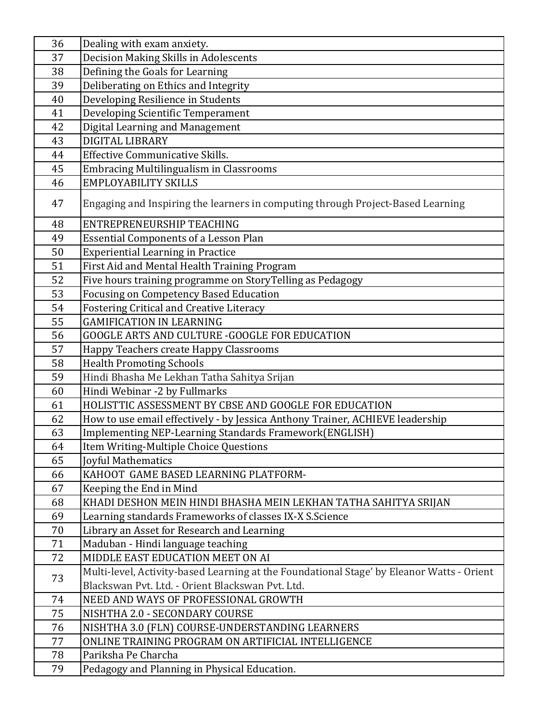| 36 | Dealing with exam anxiety.                                                                |
|----|-------------------------------------------------------------------------------------------|
| 37 | Decision Making Skills in Adolescents                                                     |
| 38 | Defining the Goals for Learning                                                           |
| 39 | Deliberating on Ethics and Integrity                                                      |
| 40 | Developing Resilience in Students                                                         |
| 41 | Developing Scientific Temperament                                                         |
| 42 | Digital Learning and Management                                                           |
| 43 | <b>DIGITAL LIBRARY</b>                                                                    |
| 44 | <b>Effective Communicative Skills.</b>                                                    |
| 45 | <b>Embracing Multilingualism in Classrooms</b>                                            |
| 46 | <b>EMPLOYABILITY SKILLS</b>                                                               |
| 47 | Engaging and Inspiring the learners in computing through Project-Based Learning           |
| 48 | ENTREPRENEURSHIP TEACHING                                                                 |
| 49 | <b>Essential Components of a Lesson Plan</b>                                              |
| 50 | <b>Experiential Learning in Practice</b>                                                  |
| 51 | First Aid and Mental Health Training Program                                              |
| 52 | Five hours training programme on StoryTelling as Pedagogy                                 |
| 53 | <b>Focusing on Competency Based Education</b>                                             |
| 54 | <b>Fostering Critical and Creative Literacy</b>                                           |
| 55 | <b>GAMIFICATION IN LEARNING</b>                                                           |
| 56 | GOOGLE ARTS AND CULTURE - GOOGLE FOR EDUCATION                                            |
| 57 | Happy Teachers create Happy Classrooms                                                    |
| 58 | <b>Health Promoting Schools</b>                                                           |
| 59 | Hindi Bhasha Me Lekhan Tatha Sahitya Srijan                                               |
| 60 | Hindi Webinar -2 by Fullmarks                                                             |
| 61 | HOLISTTIC ASSESSMENT BY CBSE AND GOOGLE FOR EDUCATION                                     |
| 62 | How to use email effectively - by Jessica Anthony Trainer, ACHIEVE leadership             |
| 63 | <b>Implementing NEP-Learning Standards Framework(ENGLISH)</b>                             |
| 64 | Item Writing-Multiple Choice Questions                                                    |
| 65 | Joyful Mathematics                                                                        |
| 66 | KAHOOT GAME BASED LEARNING PLATFORM-                                                      |
| 67 | Keeping the End in Mind                                                                   |
| 68 | KHADI DESHON MEIN HINDI BHASHA MEIN LEKHAN TATHA SAHITYA SRIJAN                           |
| 69 | Learning standards Frameworks of classes IX-X S.Science                                   |
| 70 | Library an Asset for Research and Learning                                                |
| 71 | Maduban - Hindi language teaching                                                         |
| 72 | MIDDLE EAST EDUCATION MEET ON AI                                                          |
| 73 | Multi-level, Activity-based Learning at the Foundational Stage' by Eleanor Watts - Orient |
|    | Blackswan Pyt. Ltd. - Orient Blackswan Pyt. Ltd.                                          |
| 74 | NEED AND WAYS OF PROFESSIONAL GROWTH                                                      |
| 75 | NISHTHA 2.0 - SECONDARY COURSE                                                            |
| 76 | NISHTHA 3.0 (FLN) COURSE-UNDERSTANDING LEARNERS                                           |
| 77 | ONLINE TRAINING PROGRAM ON ARTIFICIAL INTELLIGENCE                                        |
| 78 | Pariksha Pe Charcha                                                                       |
| 79 | Pedagogy and Planning in Physical Education.                                              |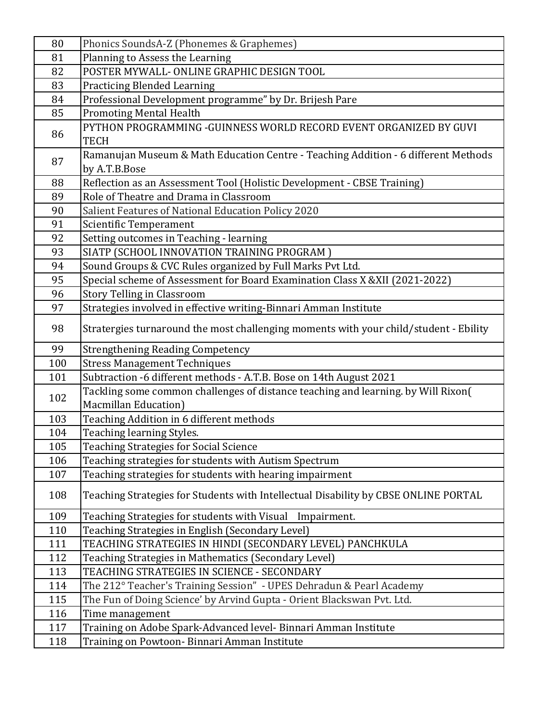| 80  | Phonics SoundsA-Z (Phonemes & Graphemes)                                              |
|-----|---------------------------------------------------------------------------------------|
| 81  | Planning to Assess the Learning                                                       |
| 82  | POSTER MYWALL- ONLINE GRAPHIC DESIGN TOOL                                             |
| 83  | <b>Practicing Blended Learning</b>                                                    |
| 84  | Professional Development programme" by Dr. Brijesh Pare                               |
| 85  | <b>Promoting Mental Health</b>                                                        |
| 86  | PYTHON PROGRAMMING -GUINNESS WORLD RECORD EVENT ORGANIZED BY GUVI                     |
|     | <b>TECH</b>                                                                           |
| 87  | Ramanujan Museum & Math Education Centre - Teaching Addition - 6 different Methods    |
|     | by A.T.B.Bose                                                                         |
| 88  | Reflection as an Assessment Tool (Holistic Development - CBSE Training)               |
| 89  | Role of Theatre and Drama in Classroom                                                |
| 90  | Salient Features of National Education Policy 2020                                    |
| 91  | <b>Scientific Temperament</b>                                                         |
| 92  | Setting outcomes in Teaching - learning                                               |
| 93  | SIATP (SCHOOL INNOVATION TRAINING PROGRAM)                                            |
| 94  | Sound Groups & CVC Rules organized by Full Marks Pvt Ltd.                             |
| 95  | Special scheme of Assessment for Board Examination Class X & XII (2021-2022)          |
| 96  | Story Telling in Classroom                                                            |
| 97  | Strategies involved in effective writing-Binnari Amman Institute                      |
| 98  | Stratergies turnaround the most challenging moments with your child/student - Ebility |
| 99  | <b>Strengthening Reading Competency</b>                                               |
| 100 | <b>Stress Management Techniques</b>                                                   |
| 101 | Subtraction -6 different methods - A.T.B. Bose on 14th August 2021                    |
| 102 | Tackling some common challenges of distance teaching and learning. by Will Rixon(     |
|     | Macmillan Education)                                                                  |
| 103 | Teaching Addition in 6 different methods                                              |
| 104 | Teaching learning Styles.                                                             |
| 105 | <b>Teaching Strategies for Social Science</b>                                         |
| 106 | Teaching strategies for students with Autism Spectrum                                 |
| 107 | Teaching strategies for students with hearing impairment                              |
| 108 | Teaching Strategies for Students with Intellectual Disability by CBSE ONLINE PORTAL   |
| 109 | Teaching Strategies for students with Visual Impairment.                              |
| 110 | Teaching Strategies in English (Secondary Level)                                      |
| 111 | TEACHING STRATEGIES IN HINDI (SECONDARY LEVEL) PANCHKULA                              |
| 112 | Teaching Strategies in Mathematics (Secondary Level)                                  |
| 113 | TEACHING STRATEGIES IN SCIENCE - SECONDARY                                            |
| 114 | The 212° Teacher's Training Session" - UPES Dehradun & Pearl Academy                  |
|     |                                                                                       |
| 115 | The Fun of Doing Science' by Arvind Gupta - Orient Blackswan Pvt. Ltd.                |
| 116 | Time management                                                                       |
| 117 | Training on Adobe Spark-Advanced level- Binnari Amman Institute                       |